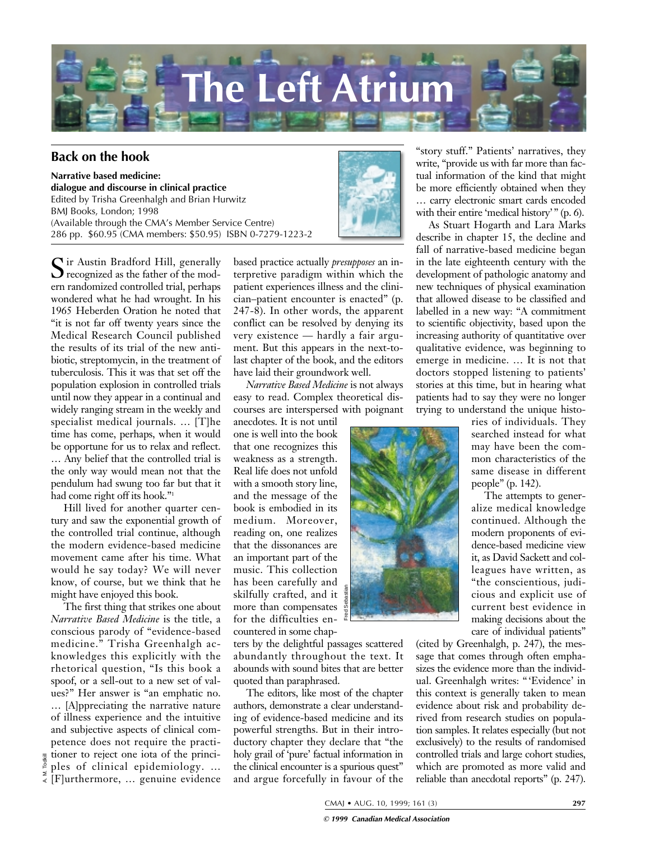

## **Back on the hook**

**Narrative based medicine: dialogue and discourse in clinical practice** Edited by Trisha Greenhalgh and Brian Hurwitz BMJ Books, London; 1998 (Available through the CMA's Member Service Centre) 286 pp. \$60.95 (CMA members: \$50.95) ISBN 0-7279-1223-2

Sir Austin Bradford Hill, generally recognized as the father of the modern randomized controlled trial, perhaps wondered what he had wrought. In his 1965 Heberden Oration he noted that "it is not far off twenty years since the Medical Research Council published the results of its trial of the new antibiotic, streptomycin, in the treatment of tuberculosis. This it was that set off the population explosion in controlled trials until now they appear in a continual and widely ranging stream in the weekly and specialist medical journals. … [T]he time has come, perhaps, when it would be opportune for us to relax and reflect. … Any belief that the controlled trial is the only way would mean not that the pendulum had swung too far but that it had come right off its hook."1

Hill lived for another quarter century and saw the exponential growth of the controlled trial continue, although the modern evidence-based medicine movement came after his time. What would he say today? We will never know, of course, but we think that he might have enjoyed this book.

The first thing that strikes one about *Narrative Based Medicine* is the title, a conscious parody of "evidence-based medicine." Trisha Greenhalgh acknowledges this explicitly with the rhetorical question, "Is this book a spoof, or a sell-out to a new set of values?" Her answer is "an emphatic no. … [A]ppreciating the narrative nature of illness experience and the intuitive and subjective aspects of clinical competence does not require the practitioner to reject one iota of the principles of clinical epidemiology. …  $\frac{E}{\epsilon}$  [F]urthermore, ... genuine evidence

A. M. Todkill

based practice actually *presupposes* an interpretive paradigm within which the patient experiences illness and the clinician–patient encounter is enacted" (p. 247-8). In other words, the apparent conflict can be resolved by denying its very existence — hardly a fair argument. But this appears in the next-tolast chapter of the book, and the editors have laid their groundwork well.

*Narrative Based Medicine* is not always easy to read. Complex theoretical discourses are interspersed with poignant

anecdotes. It is not until one is well into the book that one recognizes this weakness as a strength. Real life does not unfold with a smooth story line, and the message of the book is embodied in its medium. Moreover, reading on, one realizes that the dissonances are an important part of the music. This collection has been carefully and skilfully crafted, and it more than compensates for the difficulties encountered in some chap-

ters by the delightful passages scattered abundantly throughout the text. It abounds with sound bites that are better quoted than paraphrased.

The editors, like most of the chapter authors, demonstrate a clear understanding of evidence-based medicine and its powerful strengths. But in their introductory chapter they declare that "the holy grail of 'pure' factual information in the clinical encounter is a spurious quest" and argue forcefully in favour of the



write, "provide us with far more than factual information of the kind that might be more efficiently obtained when they … carry electronic smart cards encoded with their entire 'medical history'" (p. 6).

As Stuart Hogarth and Lara Marks describe in chapter 15, the decline and fall of narrative-based medicine began in the late eighteenth century with the development of pathologic anatomy and new techniques of physical examination that allowed disease to be classified and labelled in a new way: "A commitment to scientific objectivity, based upon the increasing authority of quantitative over qualitative evidence, was beginning to emerge in medicine. … It is not that doctors stopped listening to patients' stories at this time, but in hearing what patients had to say they were no longer trying to understand the unique histo-



ries of individuals. They searched instead for what may have been the common characteristics of the same disease in different people" (p. 142).

The attempts to generalize medical knowledge continued. Although the modern proponents of evidence-based medicine view it, as David Sackett and colleagues have written, as "the conscientious, judicious and explicit use of current best evidence in making decisions about the care of individual patients"

(cited by Greenhalgh, p. 247), the message that comes through often emphasizes the evidence more than the individual. Greenhalgh writes: "'Evidence' in this context is generally taken to mean evidence about risk and probability derived from research studies on population samples. It relates especially (but not exclusively) to the results of randomised controlled trials and large cohort studies, which are promoted as more valid and reliable than anecdotal reports" (p. 247).